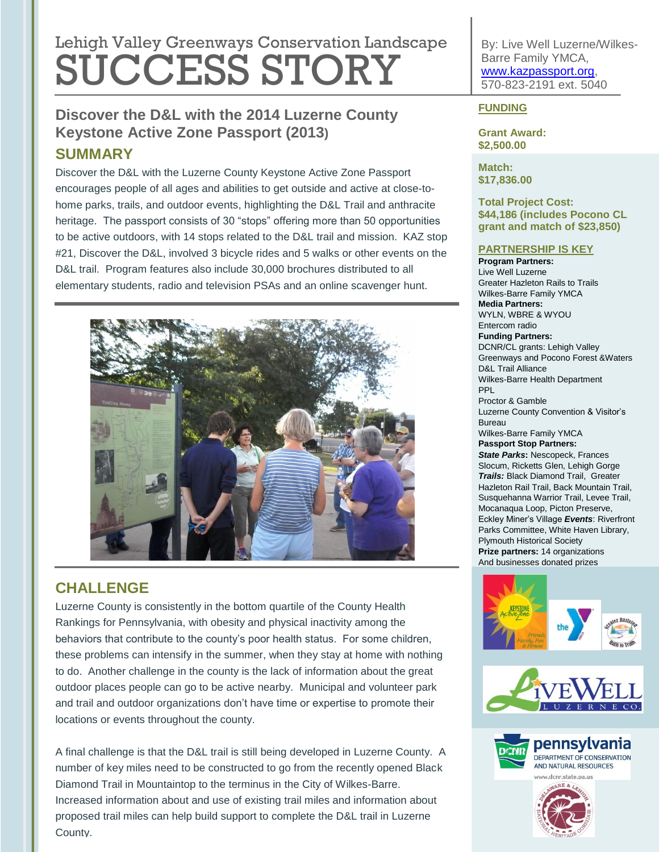# Lehigh Valley Greenways Conservation Landscape SUCCESS STORY

## **Discover the D&L with the 2014 Luzerne County Keystone Active Zone Passport (2013) SUMMARY**

Discover the D&L with the Luzerne County Keystone Active Zone Passport encourages people of all ages and abilities to get outside and active at close-tohome parks, trails, and outdoor events, highlighting the D&L Trail and anthracite heritage. The passport consists of 30 "stops" offering more than 50 opportunities to be active outdoors, with 14 stops related to the D&L trail and mission. KAZ stop #21, Discover the D&L, involved 3 bicycle rides and 5 walks or other events on the D&L trail. Program features also include 30,000 brochures distributed to all elementary students, radio and television PSAs and an online scavenger hunt.



# **CHALLENGE**

Luzerne County is consistently in the bottom quartile of the County Health Rankings for Pennsylvania, with obesity and physical inactivity among the behaviors that contribute to the county's poor health status. For some children, these problems can intensify in the summer, when they stay at home with nothing to do. Another challenge in the county is the lack of information about the great outdoor places people can go to be active nearby. Municipal and volunteer park and trail and outdoor organizations don't have time or expertise to promote their locations or events throughout the county.

A final challenge is that the D&L trail is still being developed in Luzerne County. A number of key miles need to be constructed to go from the recently opened Black Diamond Trail in Mountaintop to the terminus in the City of Wilkes-Barre. Increased information about and use of existing trail miles and information about proposed trail miles can help build support to complete the D&L trail in Luzerne County.

By: Live Well Luzerne/Wilkes-Barre Family YMCA, [www.kazpassport.org,](http://www.kazpassport.org/) 570-823-2191 ext. 5040

#### **FUNDING**

**Grant Award: \$2,500.00**

**Match: \$17,836.00**

#### **Total Project Cost: \$44,186 (includes Pocono CL grant and match of \$23,850)**

#### **PARTNERSHIP IS KEY**

**Program Partners:**  Live Well Luzerne Greater Hazleton Rails to Trails Wilkes-Barre Family YMCA **Media Partners:** WYLN, WBRE & WYOU Entercom radio **Funding Partners:** DCNR/CL grants: Lehigh Valley Greenways and Pocono Forest &Waters D&L Trail Alliance Wilkes-Barre Health Department PPL Proctor & Gamble Luzerne County Convention & Visitor's Bureau Wilkes-Barre Family YMCA **Passport Stop Partners:** *State Parks***:** Nescopeck, Frances Slocum, Ricketts Glen, Lehigh Gorge *Trails:* Black Diamond Trail, Greater Hazleton Rail Trail, Back Mountain Trail, Susquehanna Warrior Trail, Levee Trail, Mocanaqua Loop, Picton Preserve, Eckley Miner's Village *Events*: Riverfront Parks Committee, White Haven Library, Plymouth Historical Society **Prize partners:** 14 organizations And businesses donated prizes